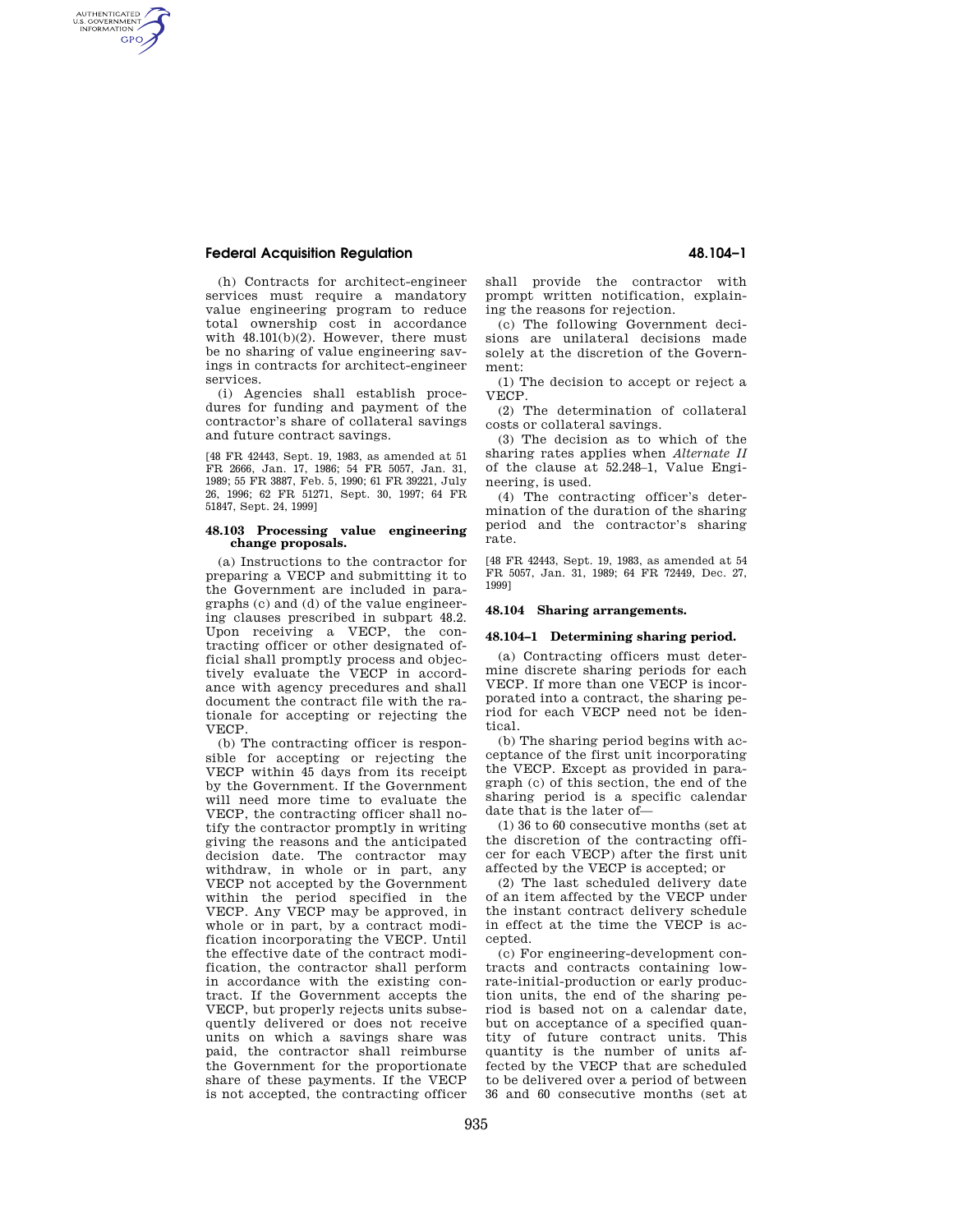# **Federal Acquisition Regulation 48.104–1**

AUTHENTICATED<br>U.S. GOVERNMENT<br>INFORMATION **GPO** 

> (h) Contracts for architect-engineer services must require a mandatory value engineering program to reduce total ownership cost in accordance with  $48.101(b)(2)$ . However, there must be no sharing of value engineering savings in contracts for architect-engineer services.

> (i) Agencies shall establish procedures for funding and payment of the contractor's share of collateral savings and future contract savings.

> [48 FR 42443, Sept. 19, 1983, as amended at 51 FR 2666, Jan. 17, 1986; 54 FR 5057, Jan. 31, 1989; 55 FR 3887, Feb. 5, 1990; 61 FR 39221, July 26, 1996; 62 FR 51271, Sept. 30, 1997; 64 FR 51847, Sept. 24, 1999]

### **48.103 Processing value engineering change proposals.**

(a) Instructions to the contractor for preparing a VECP and submitting it to the Government are included in paragraphs (c) and (d) of the value engineering clauses prescribed in subpart 48.2. Upon receiving a VECP, the contracting officer or other designated official shall promptly process and objectively evaluate the VECP in accordance with agency precedures and shall document the contract file with the rationale for accepting or rejecting the VECP.

(b) The contracting officer is responsible for accepting or rejecting the VECP within 45 days from its receipt by the Government. If the Government will need more time to evaluate the VECP, the contracting officer shall notify the contractor promptly in writing giving the reasons and the anticipated decision date. The contractor may withdraw, in whole or in part, any VECP not accepted by the Government within the period specified in the VECP. Any VECP may be approved, in whole or in part, by a contract modification incorporating the VECP. Until the effective date of the contract modification, the contractor shall perform in accordance with the existing contract. If the Government accepts the VECP, but properly rejects units subsequently delivered or does not receive units on which a savings share was paid, the contractor shall reimburse the Government for the proportionate share of these payments. If the VECP is not accepted, the contracting officer

shall provide the contractor with prompt written notification, explaining the reasons for rejection.

(c) The following Government decisions are unilateral decisions made solely at the discretion of the Government:

(1) The decision to accept or reject a VECP.

(2) The determination of collateral costs or collateral savings.

(3) The decision as to which of the sharing rates applies when *Alternate II*  of the clause at 52.248–1, Value Engineering, is used.

(4) The contracting officer's determination of the duration of the sharing period and the contractor's sharing rate.

[48 FR 42443, Sept. 19, 1983, as amended at 54 FR 5057, Jan. 31, 1989; 64 FR 72449, Dec. 27, 1999]

### **48.104 Sharing arrangements.**

#### **48.104–1 Determining sharing period.**

(a) Contracting officers must determine discrete sharing periods for each VECP. If more than one VECP is incorporated into a contract, the sharing period for each VECP need not be identical.

(b) The sharing period begins with acceptance of the first unit incorporating the VECP. Except as provided in paragraph (c) of this section, the end of the sharing period is a specific calendar date that is the later of—

(1) 36 to 60 consecutive months (set at the discretion of the contracting officer for each VECP) after the first unit affected by the VECP is accepted; or

(2) The last scheduled delivery date of an item affected by the VECP under the instant contract delivery schedule in effect at the time the VECP is accepted.

(c) For engineering-development contracts and contracts containing lowrate-initial-production or early production units, the end of the sharing period is based not on a calendar date, but on acceptance of a specified quantity of future contract units. This quantity is the number of units affected by the VECP that are scheduled to be delivered over a period of between 36 and 60 consecutive months (set at